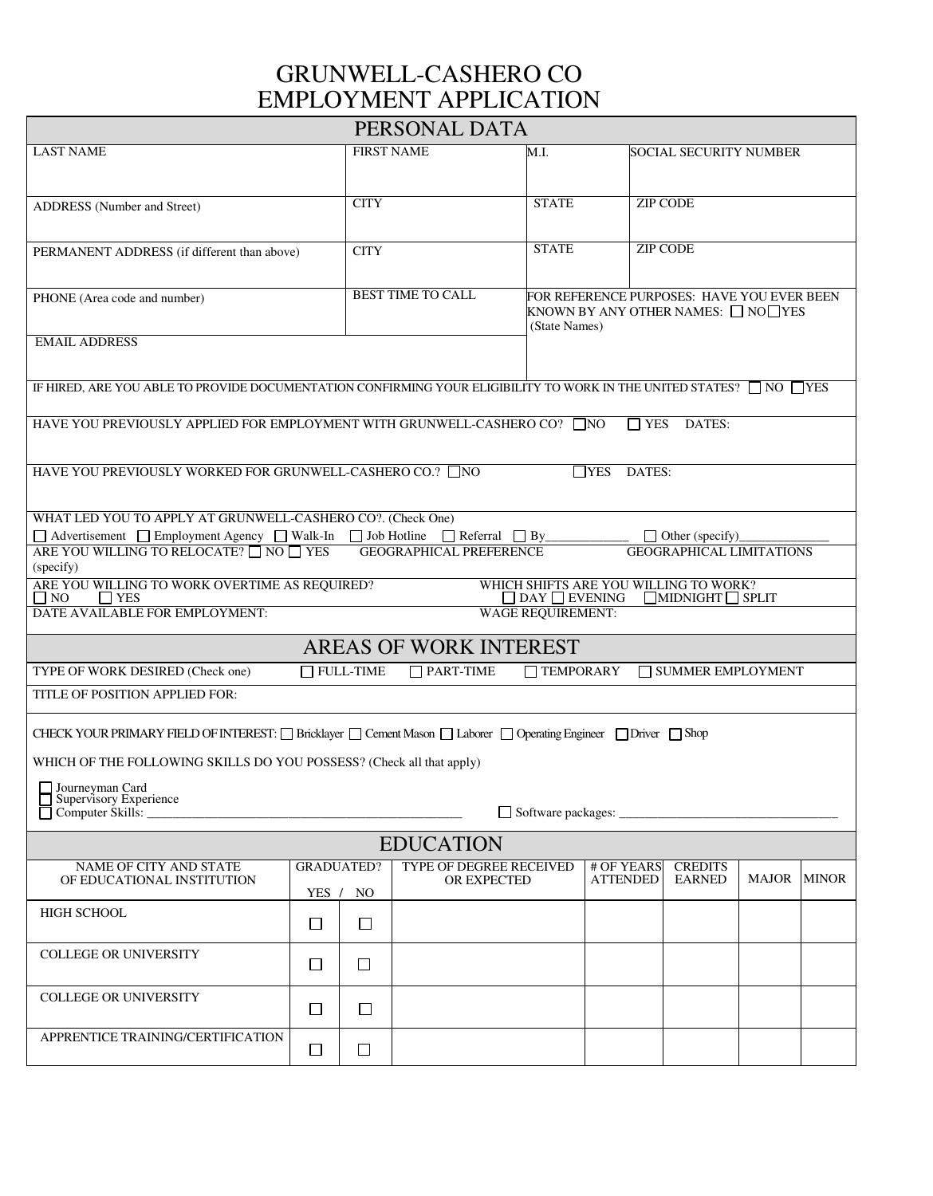## GRUNWELL-CASHERO CO EMPLOYMENT APPLICATION

| PERSONAL DATA                                                                                                                                                                                                                                    |        |                          |                                               |                          |                                                                                                   |                                 |       |              |  |
|--------------------------------------------------------------------------------------------------------------------------------------------------------------------------------------------------------------------------------------------------|--------|--------------------------|-----------------------------------------------|--------------------------|---------------------------------------------------------------------------------------------------|---------------------------------|-------|--------------|--|
| <b>LAST NAME</b>                                                                                                                                                                                                                                 |        | <b>FIRST NAME</b>        |                                               | M.I.                     |                                                                                                   | SOCIAL SECURITY NUMBER          |       |              |  |
|                                                                                                                                                                                                                                                  |        |                          |                                               |                          |                                                                                                   |                                 |       |              |  |
| ADDRESS (Number and Street)                                                                                                                                                                                                                      |        | <b>CITY</b>              |                                               | <b>STATE</b>             |                                                                                                   | <b>ZIP CODE</b>                 |       |              |  |
|                                                                                                                                                                                                                                                  |        |                          |                                               |                          |                                                                                                   |                                 |       |              |  |
| PERMANENT ADDRESS (if different than above)                                                                                                                                                                                                      |        | <b>CITY</b>              |                                               | <b>STATE</b>             |                                                                                                   | <b>ZIP CODE</b>                 |       |              |  |
|                                                                                                                                                                                                                                                  |        |                          |                                               |                          |                                                                                                   |                                 |       |              |  |
| PHONE (Area code and number)                                                                                                                                                                                                                     |        | <b>BEST TIME TO CALL</b> |                                               |                          | FOR REFERENCE PURPOSES: HAVE YOU EVER BEEN<br>KNOWN BY ANY OTHER NAMES: □ NO□YES<br>(State Names) |                                 |       |              |  |
|                                                                                                                                                                                                                                                  |        |                          |                                               |                          |                                                                                                   |                                 |       |              |  |
| <b>EMAIL ADDRESS</b>                                                                                                                                                                                                                             |        |                          |                                               |                          |                                                                                                   |                                 |       |              |  |
|                                                                                                                                                                                                                                                  |        |                          |                                               |                          |                                                                                                   |                                 |       |              |  |
| IF HIRED, ARE YOU ABLE TO PROVIDE DOCUMENTATION CONFIRMING YOUR ELIGIBILITY TO WORK IN THE UNITED STATES? $\Box$ NO $\Box$ YES                                                                                                                   |        |                          |                                               |                          |                                                                                                   |                                 |       |              |  |
| HAVE YOU PREVIOUSLY APPLIED FOR EMPLOYMENT WITH GRUNWELL-CASHERO CO? □ NO<br>$\Box$ YES<br>DATES:                                                                                                                                                |        |                          |                                               |                          |                                                                                                   |                                 |       |              |  |
|                                                                                                                                                                                                                                                  |        |                          |                                               |                          |                                                                                                   |                                 |       |              |  |
| HAVE YOU PREVIOUSLY WORKED FOR GRUNWELL-CASHERO CO.? □ NO<br>$\Box$ YES DATES:                                                                                                                                                                   |        |                          |                                               |                          |                                                                                                   |                                 |       |              |  |
|                                                                                                                                                                                                                                                  |        |                          |                                               |                          |                                                                                                   |                                 |       |              |  |
| WHAT LED YOU TO APPLY AT GRUNWELL-CASHERO CO?. (Check One)                                                                                                                                                                                       |        |                          |                                               |                          |                                                                                                   |                                 |       |              |  |
| $\Box$ Advertisement $\Box$ Employment Agency $\Box$ Walk-In $\Box$ Job Hotline $\Box$ Referral $\Box$ By<br>$\Box$ Other (specify)<br>ARE YOU WILLING TO RELOCATE? NO TYES<br><b>GEOGRAPHICAL PREFERENCE</b><br><b>GEOGRAPHICAL LIMITATIONS</b> |        |                          |                                               |                          |                                                                                                   |                                 |       |              |  |
| (specify)                                                                                                                                                                                                                                        |        |                          |                                               |                          |                                                                                                   |                                 |       |              |  |
| ARE YOU WILLING TO WORK OVERTIME AS REQUIRED?<br>WHICH SHIFTS ARE YOU WILLING TO WORK?<br>$\Box$ NO<br>$\Box$ YES<br>$\Box$ DAY $\Box$ EVENING<br>$\Box$ MIDNIGHT $\Box$ SPLIT                                                                   |        |                          |                                               |                          |                                                                                                   |                                 |       |              |  |
| DATE AVAILABLE FOR EMPLOYMENT:                                                                                                                                                                                                                   |        |                          |                                               | <b>WAGE REQUIREMENT:</b> |                                                                                                   |                                 |       |              |  |
| AREAS OF WORK INTEREST                                                                                                                                                                                                                           |        |                          |                                               |                          |                                                                                                   |                                 |       |              |  |
| $\Box$ FULL-TIME<br>$\Box$ PART-TIME<br>TYPE OF WORK DESIRED (Check one)<br><b>TEMPORARY</b><br>$\Box$ SUMMER EMPLOYMENT                                                                                                                         |        |                          |                                               |                          |                                                                                                   |                                 |       |              |  |
| TITLE OF POSITION APPLIED FOR:                                                                                                                                                                                                                   |        |                          |                                               |                          |                                                                                                   |                                 |       |              |  |
|                                                                                                                                                                                                                                                  |        |                          |                                               |                          |                                                                                                   |                                 |       |              |  |
| CHECK YOUR PRIMARY FIELD OF INTEREST: [ G Bricklayer   Cement Mason   Laborer   Operating Engineer   Driver   Shop                                                                                                                               |        |                          |                                               |                          |                                                                                                   |                                 |       |              |  |
| WHICH OF THE FOLLOWING SKILLS DO YOU POSSESS? (Check all that apply)                                                                                                                                                                             |        |                          |                                               |                          |                                                                                                   |                                 |       |              |  |
| $\Box$ Journeyman Card<br>Supervisory Experience                                                                                                                                                                                                 |        |                          |                                               |                          |                                                                                                   |                                 |       |              |  |
| Computer Skills:                                                                                                                                                                                                                                 |        |                          |                                               |                          |                                                                                                   |                                 |       |              |  |
| <b>EDUCATION</b>                                                                                                                                                                                                                                 |        |                          |                                               |                          |                                                                                                   |                                 |       |              |  |
| NAME OF CITY AND STATE                                                                                                                                                                                                                           |        | <b>GRADUATED?</b>        | TYPE OF DEGREE RECEIVED<br><b>OR EXPECTED</b> |                          | # OF YEARS<br><b>ATTENDED</b>                                                                     | <b>CREDITS</b><br><b>EARNED</b> | MAJOR | <b>MINOR</b> |  |
| OF EDUCATIONAL INSTITUTION                                                                                                                                                                                                                       | YES /  | NO                       |                                               |                          |                                                                                                   |                                 |       |              |  |
| <b>HIGH SCHOOL</b>                                                                                                                                                                                                                               | □      | □                        |                                               |                          |                                                                                                   |                                 |       |              |  |
|                                                                                                                                                                                                                                                  |        |                          |                                               |                          |                                                                                                   |                                 |       |              |  |
| <b>COLLEGE OR UNIVERSITY</b>                                                                                                                                                                                                                     | □      | □                        |                                               |                          |                                                                                                   |                                 |       |              |  |
| <b>COLLEGE OR UNIVERSITY</b>                                                                                                                                                                                                                     |        |                          |                                               |                          |                                                                                                   |                                 |       |              |  |
|                                                                                                                                                                                                                                                  | □      | □                        |                                               |                          |                                                                                                   |                                 |       |              |  |
| APPRENTICE TRAINING/CERTIFICATION                                                                                                                                                                                                                |        |                          |                                               |                          |                                                                                                   |                                 |       |              |  |
|                                                                                                                                                                                                                                                  | $\Box$ | $\Box$                   |                                               |                          |                                                                                                   |                                 |       |              |  |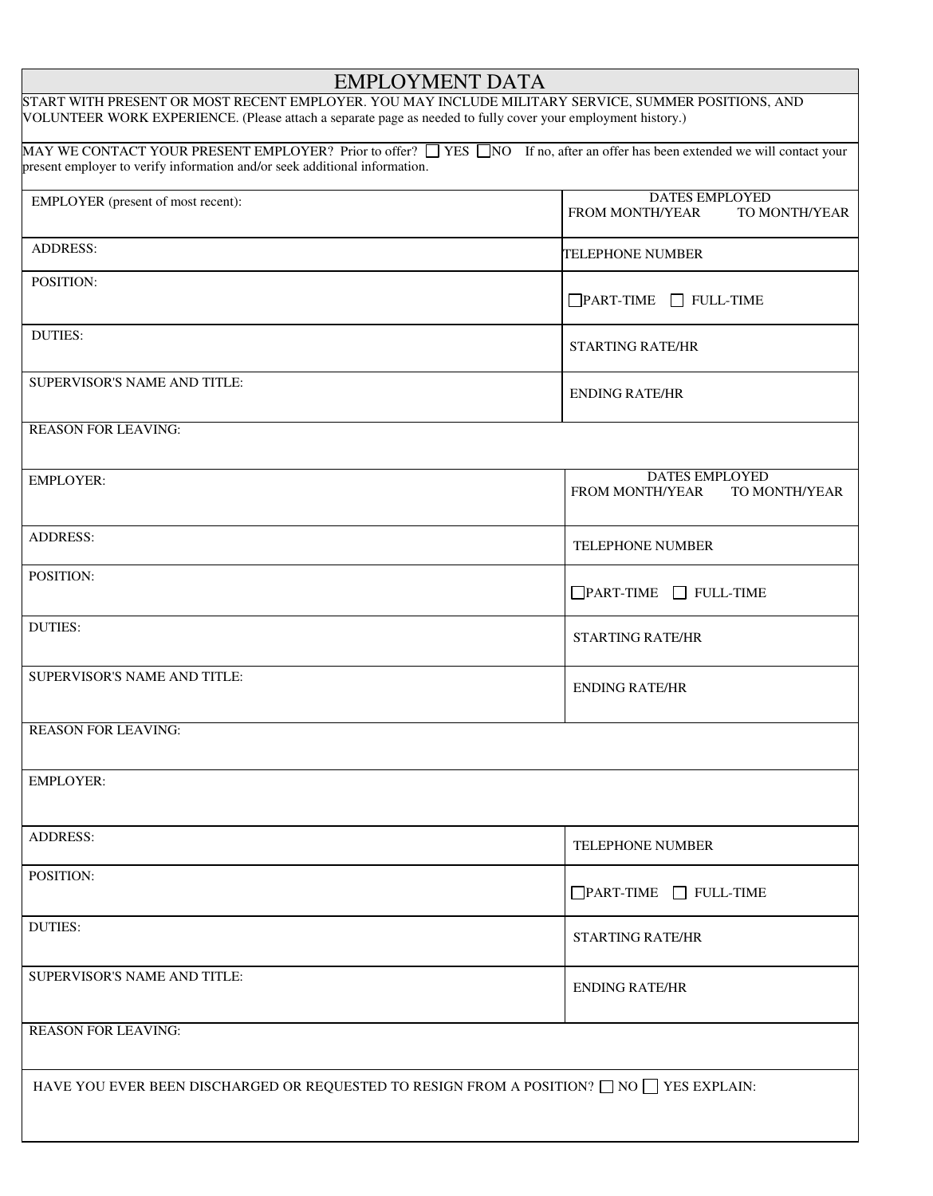| <b>EMPLOYMENT DATA</b>                                                                                                                                                                                              |                                                                  |  |  |  |  |  |
|---------------------------------------------------------------------------------------------------------------------------------------------------------------------------------------------------------------------|------------------------------------------------------------------|--|--|--|--|--|
| START WITH PRESENT OR MOST RECENT EMPLOYER. YOU MAY INCLUDE MILITARY SERVICE, SUMMER POSITIONS, AND<br>VOLUNTEER WORK EXPERIENCE. (Please attach a separate page as needed to fully cover your employment history.) |                                                                  |  |  |  |  |  |
| MAY WE CONTACT YOUR PRESENT EMPLOYER? Prior to offer? THES TWO If no, after an offer has been extended we will contact your<br>present employer to verify information and/or seek additional information.           |                                                                  |  |  |  |  |  |
| EMPLOYER (present of most recent):                                                                                                                                                                                  | <b>DATES EMPLOYED</b><br><b>FROM MONTH/YEAR</b><br>TO MONTH/YEAR |  |  |  |  |  |
| <b>ADDRESS:</b>                                                                                                                                                                                                     | <b>TELEPHONE NUMBER</b>                                          |  |  |  |  |  |
| POSITION:                                                                                                                                                                                                           | $\Box$ PART-TIME $\Box$ FULL-TIME                                |  |  |  |  |  |
| <b>DUTIES:</b>                                                                                                                                                                                                      | <b>STARTING RATE/HR</b>                                          |  |  |  |  |  |
| SUPERVISOR'S NAME AND TITLE:                                                                                                                                                                                        | <b>ENDING RATE/HR</b>                                            |  |  |  |  |  |
| <b>REASON FOR LEAVING:</b>                                                                                                                                                                                          |                                                                  |  |  |  |  |  |
| <b>EMPLOYER:</b>                                                                                                                                                                                                    | <b>DATES EMPLOYED</b><br><b>FROM MONTH/YEAR</b><br>TO MONTH/YEAR |  |  |  |  |  |
| <b>ADDRESS:</b>                                                                                                                                                                                                     | TELEPHONE NUMBER                                                 |  |  |  |  |  |
| POSITION:                                                                                                                                                                                                           | $\Box$ PART-TIME $\Box$ FULL-TIME                                |  |  |  |  |  |
| <b>DUTIES:</b>                                                                                                                                                                                                      | <b>STARTING RATE/HR</b>                                          |  |  |  |  |  |
| SUPERVISOR'S NAME AND TITLE:                                                                                                                                                                                        | <b>ENDING RATE/HR</b>                                            |  |  |  |  |  |
| <b>REASON FOR LEAVING:</b>                                                                                                                                                                                          |                                                                  |  |  |  |  |  |
| <b>EMPLOYER:</b>                                                                                                                                                                                                    |                                                                  |  |  |  |  |  |
| <b>ADDRESS:</b>                                                                                                                                                                                                     | <b>TELEPHONE NUMBER</b>                                          |  |  |  |  |  |
| POSITION:                                                                                                                                                                                                           | $\Box$ PART-TIME $\Box$ FULL-TIME                                |  |  |  |  |  |
| <b>DUTIES:</b>                                                                                                                                                                                                      | <b>STARTING RATE/HR</b>                                          |  |  |  |  |  |
| SUPERVISOR'S NAME AND TITLE:                                                                                                                                                                                        | <b>ENDING RATE/HR</b>                                            |  |  |  |  |  |
| <b>REASON FOR LEAVING:</b>                                                                                                                                                                                          |                                                                  |  |  |  |  |  |
| HAVE YOU EVER BEEN DISCHARGED OR REQUESTED TO RESIGN FROM A POSITION? $\Box$ NO $\Box$ YES EXPLAIN:                                                                                                                 |                                                                  |  |  |  |  |  |